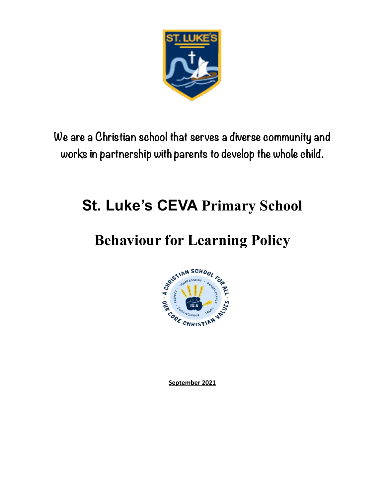

**We are a Christian school that serves a diverse community and works in partnership with parents to develop the whole child.**

# **St. Luke's CEVA Primary School**

# **Behaviour for Learning Policy**



**September 2021**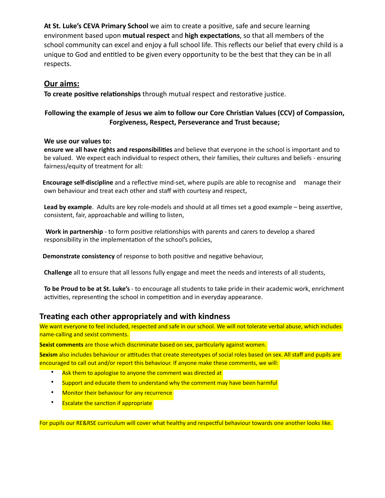**At St. Luke's CEVA Primary School** we aim to create a positive, safe and secure learning environment based upon **mutual respect** and **high expectations**, so that all members of the school community can excel and enjoy a full school life. This reflects our belief that every child is a unique to God and entitled to be given every opportunity to be the best that they can be in all respects.

### **Our aims:**

**To create positive relationships** through mutual respect and restorative justice.

### **Following the example of Jesus we aim to follow our Core Christian Values (CCV) of Compassion, Forgiveness, Respect, Perseverance and Trust because;**

#### **We use our values to:**

**ensure we all have rights and responsibilities** and believe that everyone in the school is important and to be valued. We expect each individual to respect others, their families, their cultures and beliefs - ensuring fairness/equity of treatment for all:

 **Encourage self-discipline** and a reflective mind-set, where pupils are able to recognise and manage their own behaviour and treat each other and staff with courtesy and respect,

**Lead by example**. Adults are key role-models and should at all times set a good example – being assertive, consistent, fair, approachable and willing to listen,

 **Work in partnership** - to form positive relationships with parents and carers to develop a shared responsibility in the implementation of the school's policies,

 **Demonstrate consistency** of response to both positive and negative behaviour,

**Challenge** all to ensure that all lessons fully engage and meet the needs and interests of all students,

**To be Proud to be at St. Luke's** - to encourage all students to take pride in their academic work, enrichment activities, representing the school in competition and in everyday appearance.

### **Treating each other appropriately and with kindness**

We want everyone to feel included, respected and safe in our school. We will not tolerate verbal abuse, which includes name-calling and sexist comments.

**Sexist comments** are those which discriminate based on sex, particularly against women.

**Sexism** also includes behaviour or attitudes that create stereotypes of social roles based on sex. All staff and pupils are encouraged to call out and/or report this behaviour. If anyone make these comments, we will:

- Ask them to apologise to anyone the comment was directed at
- Support and educate them to understand why the comment may have been harmful
- Monitor their behaviour for any recurrence
- Escalate the sanction if appropriate

For pupils our RE&RSE curriculum will cover what healthy and respectful behaviour towards one another looks like.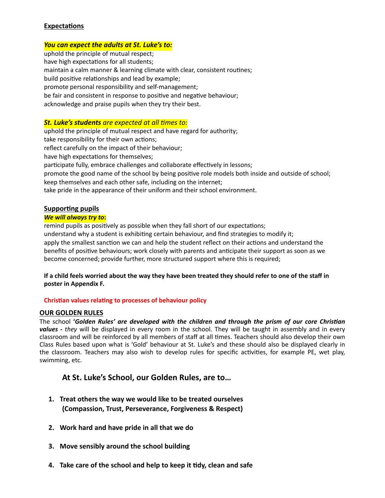#### **Expectations**

#### *You can expect the adults at St. Luke's to:*

uphold the principle of mutual respect; have high expectations for all students; maintain a calm manner & learning climate with clear, consistent routines; build positive relationships and lead by example; promote personal responsibility and self-management; be fair and consistent in response to positive and negative behaviour; acknowledge and praise pupils when they try their best.

#### *St. Luke's students are expected at all times to:*

uphold the principle of mutual respect and have regard for authority; take responsibility for their own actions; reflect carefully on the impact of their behaviour; have high expectations for themselves; participate fully, embrace challenges and collaborate effectively in lessons; promote the good name of the school by being positive role models both inside and outside of school; keep themselves and each other safe, including on the internet; take pride in the appearance of their uniform and their school environment.

### **Supporting pupils**

#### *We will always try to***:**

remind pupils as positively as possible when they fall short of our expectations; understand why a student is exhibiting certain behaviour, and find strategies to modify it; apply the smallest sanction we can and help the student reflect on their actions and understand the benefits of positive behaviours; work closely with parents and anticipate their support as soon as we become concerned; provide further, more structured support where this is required;

#### **If a child feels worried about the way they have been treated they should refer to one of the staff in poster in Appendix F.**

#### **Christian values relating to processes of behaviour policy**

#### **OUR GOLDEN RULES**

The school **'***Golden Rules' are developed with the children and through the prism of our core Christian values - they* will be displayed in every room in the school. They will be taught in assembly and in every classroom and will be reinforced by all members of staff at all times. Teachers should also develop their own Class Rules based upon what is 'Gold' behaviour at St. Luke's and these should also be displayed clearly in the classroom. Teachers may also wish to develop rules for specific activities, for example PE, wet play, swimming, etc.

### **At St. Luke's School, our Golden Rules, are to…**

- **1. Treat others the way we would like to be treated ourselves (Compassion, Trust, Perseverance, Forgiveness & Respect)**
- **2. Work hard and have pride in all that we do**
- **3. Move sensibly around the school building**
- **4. Take care of the school and help to keep it tidy, clean and safe**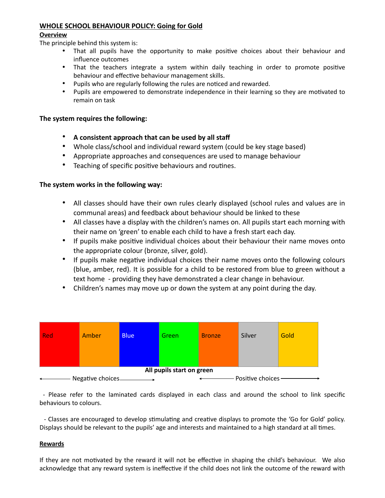#### **WHOLE SCHOOL BEHAVIOUR POLICY: Going for Gold**

#### **Overview**

The principle behind this system is:

- That all pupils have the opportunity to make positive choices about their behaviour and influence outcomes
- That the teachers integrate a system within daily teaching in order to promote positive behaviour and effective behaviour management skills.
- Pupils who are regularly following the rules are noticed and rewarded.
- Pupils are empowered to demonstrate independence in their learning so they are motivated to remain on task

#### **The system requires the following:**

- **A consistent approach that can be used by all staff**
- Whole class/school and individual reward system (could be key stage based)
- Appropriate approaches and consequences are used to manage behaviour
- Teaching of specific positive behaviours and routines.

#### **The system works in the following way:**

- All classes should have their own rules clearly displayed (school rules and values are in communal areas) and feedback about behaviour should be linked to these
- All classes have a display with the children's names on. All pupils start each morning with their name on 'green' to enable each child to have a fresh start each day.
- If pupils make positive individual choices about their behaviour their name moves onto the appropriate colour (bronze, silver, gold).
- If pupils make negative individual choices their name moves onto the following colours (blue, amber, red). It is possible for a child to be restored from blue to green without a text home - providing they have demonstrated a clear change in behaviour.
- Children's names may move up or down the system at any point during the day.



 - Please refer to the laminated cards displayed in each class and around the school to link specific behaviours to colours.

 - Classes are encouraged to develop stimulating and creative displays to promote the 'Go for Gold' policy. Displays should be relevant to the pupils' age and interests and maintained to a high standard at all times.

#### **Rewards**

If they are not motivated by the reward it will not be effective in shaping the child's behaviour. We also acknowledge that any reward system is ineffective if the child does not link the outcome of the reward with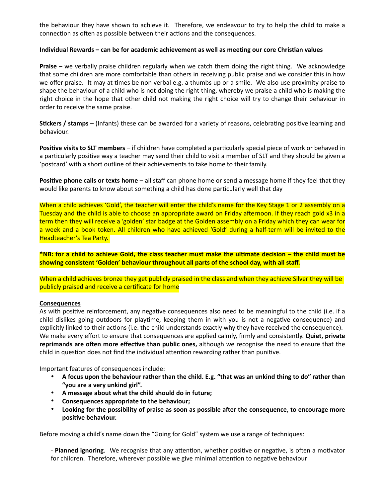the behaviour they have shown to achieve it. Therefore, we endeavour to try to help the child to make a connection as often as possible between their actions and the consequences.

#### **Individual Rewards – can be for academic achievement as well as meeting our core Christian values**

**Praise** – we verbally praise children regularly when we catch them doing the right thing. We acknowledge that some children are more comfortable than others in receiving public praise and we consider this in how we offer praise. It may at times be non verbal e.g. a thumbs up or a smile. We also use proximity praise to shape the behaviour of a child who is not doing the right thing, whereby we praise a child who is making the right choice in the hope that other child not making the right choice will try to change their behaviour in order to receive the same praise.

**Stickers / stamps** – (Infants) these can be awarded for a variety of reasons, celebrating positive learning and behaviour.

**Positive visits to SLT members** – if children have completed a particularly special piece of work or behaved in a particularly positive way a teacher may send their child to visit a member of SLT and they should be given a 'postcard' with a short outline of their achievements to take home to their family.

**Positive phone calls or texts home** – all staff can phone home or send a message home if they feel that they would like parents to know about something a child has done particularly well that day

When a child achieves 'Gold', the teacher will enter the child's name for the Key Stage 1 or 2 assembly on a Tuesday and the child is able to choose an appropriate award on Friday afternoon. If they reach gold x3 in a term then they will receive a 'golden' star badge at the Golden assembly on a Friday which they can wear for a week and a book token. All children who have achieved 'Gold' during a half-term will be invited to the Headteacher's Tea Party.

**\*NB: for a child to achieve Gold, the class teacher must make the ultimate decision – the child must be showing consistent 'Golden' behaviour throughout all parts of the school day, with all staff.**

When a child achieves bronze they get publicly praised in the class and when they achieve Silver they will be publicly praised and receive a certificate for home

#### **Consequences**

As with positive reinforcement, any negative consequences also need to be meaningful to the child (i.e. if a child dislikes going outdoors for playtime, keeping them in with you is not a negative consequence) and explicitly linked to their actions (i.e. the child understands exactly why they have received the consequence). We make every effort to ensure that consequences are applied calmly, firmly and consistently. **Quiet, private reprimands are often more effective than public ones,** although we recognise the need to ensure that the child in question does not find the individual attention rewarding rather than punitive.

Important features of consequences include:

- **A focus upon the behaviour rather than the child. E.g. "that was an unkind thing to do" rather than "you are a very unkind girl".**
- **A message about what the child should do in future;**
- **Consequences appropriate to the behaviour;**
- **Looking for the possibility of praise as soon as possible after the consequence, to encourage more positive behaviour.**

Before moving a child's name down the "Going for Gold" system we use a range of techniques:

- **Planned ignoring**. We recognise that any attention, whether positive or negative, is often a motivator for children. Therefore, wherever possible we give minimal attention to negative behaviour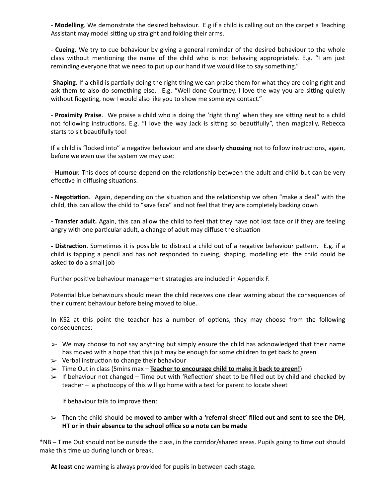- **Modelling**. We demonstrate the desired behaviour. E.g if a child is calling out on the carpet a Teaching Assistant may model sitting up straight and folding their arms.

- **Cueing.** We try to cue behaviour by giving a general reminder of the desired behaviour to the whole class without mentioning the name of the child who is not behaving appropriately. E.g. "I am just reminding everyone that we need to put up our hand if we would like to say something."

-**Shaping.** If a child is partially doing the right thing we can praise them for what they are doing right and ask them to also do something else. E.g. "Well done Courtney, I love the way you are sitting quietly without fidgeting, now I would also like you to show me some eye contact."

- **Proximity Praise**. We praise a child who is doing the 'right thing' when they are sitting next to a child not following instructions. E.g. "I love the way Jack is sitting so beautifully", then magically, Rebecca starts to sit beautifully too!

If a child is "locked into" a negative behaviour and are clearly **choosing** not to follow instructions, again, before we even use the system we may use:

- **Humour.** This does of course depend on the relationship between the adult and child but can be very effective in diffusing situations.

- **Negotiation**. Again, depending on the situation and the relationship we often "make a deal" with the child, this can allow the child to "save face" and not feel that they are completely backing down

**- Transfer adult.** Again, this can allow the child to feel that they have not lost face or if they are feeling angry with one particular adult, a change of adult may diffuse the situation

**- Distraction**. Sometimes it is possible to distract a child out of a negative behaviour pattern. E.g. if a child is tapping a pencil and has not responded to cueing, shaping, modelling etc. the child could be asked to do a small job

Further positive behaviour management strategies are included in Appendix F.

Potential blue behaviours should mean the child receives one clear warning about the consequences of their current behaviour before being moved to blue.

In KS2 at this point the teacher has a number of options, they may choose from the following consequences:

- $\triangleright$  We may choose to not say anything but simply ensure the child has acknowledged that their name has moved with a hope that this jolt may be enough for some children to get back to green
- $\triangleright$  Verbal instruction to change their behaviour
- ➢ Time Out in class (5mins max **Teacher to encourage child to make it back to green!**)
- $\triangleright$  If behaviour not changed Time out with 'Reflection' sheet to be filled out by child and checked by teacher – a photocopy of this will go home with a text for parent to locate sheet

If behaviour fails to improve then:

➢ Then the child should be **moved to amber with a 'referral sheet' filled out and sent to see the DH, HT or in their absence to the school office so a note can be made**

\*NB – Time Out should not be outside the class, in the corridor/shared areas. Pupils going to time out should make this time up during lunch or break.

**At least** one warning is always provided for pupils in between each stage.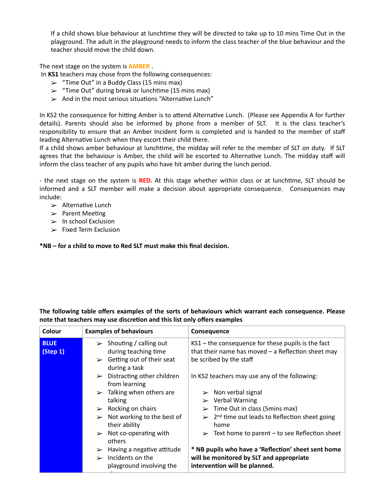If a child shows blue behaviour at lunchtime they will be directed to take up to 10 mins Time Out in the playground. The adult in the playground needs to inform the class teacher of the blue behaviour and the teacher should move the child down.

The next stage on the system is **AMBER** .

In **KS1** teachers may chose from the following consequences:

- $\geq$  "Time Out" in a Buddy Class (15 mins max)
- $\geq$  "Time Out" during break or lunchtime (15 mins max)
- $\triangleright$  And in the most serious situations "Alternative Lunch"

In KS2 the consequence for hitting Amber is to attend Alternative Lunch. (Please see Appendix A for further details). Parents should also be informed by phone from a member of SLT. It is the class teacher's responsibility to ensure that an Amber Incident form is completed and is handed to the member of staff leading Alternative Lunch when they escort their child there.

If a child shows amber behaviour at lunchtime, the midday will refer to the member of SLT on duty. If SLT agrees that the behaviour is Amber, the child will be escorted to Alternative Lunch. The midday staff will inform the class teacher of any pupils who have hit amber during the lunch period.

- the next stage on the system is **RED.** At this stage whether within class or at lunchtime, SLT should be informed and a SLT member will make a decision about appropriate consequence. Consequences may include:

- $\geq$  Alternative Lunch
- $\triangleright$  Parent Meeting
- $\geq$  In school Exclusion
- $\geq$  Fixed Term Exclusion

**\*NB – for a child to move to Red SLT must make this final decision.**

above

**The following table offers examples of the sorts of behaviours which warrant each consequence. Please note that teachers may use discretion and this list only offers examples**

| Colour                  | <b>Examples of behaviours</b>                                                                                                  | <b>Consequence</b>                                                                                                                      |
|-------------------------|--------------------------------------------------------------------------------------------------------------------------------|-----------------------------------------------------------------------------------------------------------------------------------------|
| <b>BLUE</b><br>(Step 1) | $\triangleright$ Shouting / calling out<br>during teaching time<br>$\triangleright$ Getting out of their seat<br>during a task | $KS1$ – the consequence for these pupils is the fact<br>that their name has moved $-$ a Reflection sheet may<br>be scribed by the staff |
|                         | Distracting other children<br>$\blacktriangleright$<br>from learning                                                           | In KS2 teachers may use any of the following:                                                                                           |
|                         | $\geq$ Talking when others are<br>talking                                                                                      | $\triangleright$ Non verbal signal<br>$\triangleright$ Verbal Warning                                                                   |
|                         | Rocking on chairs<br>$\blacktriangleright$                                                                                     | Time Out in class (5mins max)                                                                                                           |
|                         | Not working to the best of<br>$\blacktriangleright$<br>their ability                                                           | $\geq 2^{nd}$ time out leads to Reflection sheet going<br>home                                                                          |
|                         | $\triangleright$ Not co-operating with<br>others                                                                               | $\geq$ Text home to parent – to see Reflection sheet                                                                                    |
|                         | $\triangleright$ Having a negative attitude<br>Incidents on the<br>$\rightarrow$<br>playground involving the                   | * NB pupils who have a 'Reflection' sheet sent home<br>will be monitored by SLT and appropriate<br>intervention will be planned.        |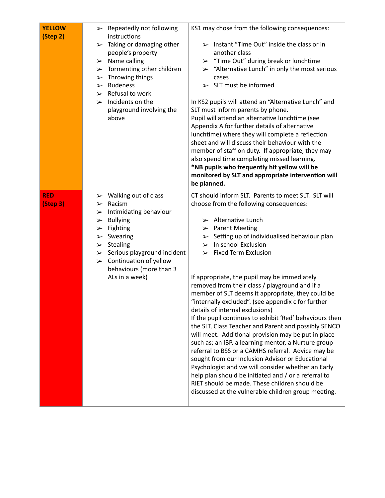| <b>YELLOW</b><br>(Step 2) | $\triangleright$ Repeatedly not following<br>instructions<br>$\blacktriangleright$ Taking or damaging other<br>people's property<br>$\triangleright$ Name calling<br>$\triangleright$ Tormenting other children<br>$\triangleright$ Throwing things<br>$\triangleright$ Rudeness<br>$\triangleright$ Refusal to work<br>$\blacktriangleright$ Incidents on the<br>playground involving the<br>above | KS1 may chose from the following consequences:<br>$\triangleright$ Instant "Time Out" inside the class or in<br>another class<br>$\triangleright$ "Time Out" during break or lunchtime<br>$\ge$ "Alternative Lunch" in only the most serious<br>cases<br>$\geq$ SLT must be informed<br>In KS2 pupils will attend an "Alternative Lunch" and<br>SLT must inform parents by phone.<br>Pupil will attend an alternative lunchtime (see<br>Appendix A for further details of alternative<br>lunchtime) where they will complete a reflection<br>sheet and will discuss their behaviour with the<br>member of staff on duty. If appropriate, they may<br>also spend time completing missed learning.<br>*NB pupils who frequently hit yellow will be<br>monitored by SLT and appropriate intervention will<br>be planned.                                                                                                                                                                                                                                                                                                                             |
|---------------------------|-----------------------------------------------------------------------------------------------------------------------------------------------------------------------------------------------------------------------------------------------------------------------------------------------------------------------------------------------------------------------------------------------------|---------------------------------------------------------------------------------------------------------------------------------------------------------------------------------------------------------------------------------------------------------------------------------------------------------------------------------------------------------------------------------------------------------------------------------------------------------------------------------------------------------------------------------------------------------------------------------------------------------------------------------------------------------------------------------------------------------------------------------------------------------------------------------------------------------------------------------------------------------------------------------------------------------------------------------------------------------------------------------------------------------------------------------------------------------------------------------------------------------------------------------------------------|
| <b>RED</b><br>(Step 3)    | $\triangleright$ Walking out of class<br>Racism<br>$\blacktriangleright$<br>$\triangleright$ Intimidating behaviour<br><b>Bullying</b><br>➤<br>Fighting<br>$\blacktriangleright$<br>$\triangleright$ Swearing<br>$\triangleright$ Stealing<br>$\triangleright$ Serious playground incident<br>$\triangleright$ Continuation of yellow<br>behaviours (more than 3<br>ALs in a week)                  | CT should inform SLT. Parents to meet SLT. SLT will<br>choose from the following consequences:<br>$\triangleright$ Alternative Lunch<br>$\triangleright$ Parent Meeting<br>$\triangleright$ Setting up of individualised behaviour plan<br>In school Exclusion<br>$\blacktriangleright$<br>$\triangleright$ Fixed Term Exclusion<br>If appropriate, the pupil may be immediately<br>removed from their class / playground and if a<br>member of SLT deems it appropriate, they could be<br>"internally excluded". (see appendix c for further<br>details of internal exclusions)<br>If the pupil continues to exhibit 'Red' behaviours then<br>the SLT, Class Teacher and Parent and possibly SENCO<br>will meet. Additional provision may be put in place<br>such as; an IBP, a learning mentor, a Nurture group<br>referral to BSS or a CAMHS referral. Advice may be<br>sought from our Inclusion Advisor or Educational<br>Psychologist and we will consider whether an Early<br>help plan should be initiated and / or a referral to<br>RIET should be made. These children should be<br>discussed at the vulnerable children group meeting. |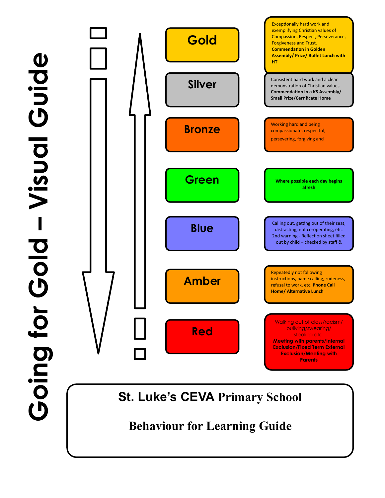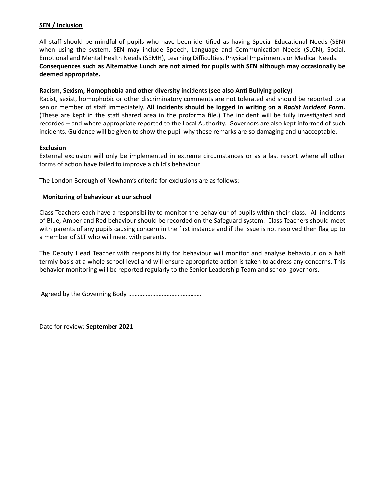#### **SEN / Inclusion**

All staff should be mindful of pupils who have been identified as having Special Educational Needs (SEN) when using the system. SEN may include Speech, Language and Communication Needs (SLCN), Social, Emotional and Mental Health Needs (SEMH), Learning Difficulties, Physical Impairments or Medical Needs. **Consequences such as Alternative Lunch are not aimed for pupils with SEN although may occasionally be deemed appropriate.** 

#### **Racism, Sexism, Homophobia and other diversity incidents (see also Anti Bullying policy)**

Racist, sexist, homophobic or other discriminatory comments are not tolerated and should be reported to a senior member of staff immediately. **All incidents should be logged in writing on a** *Racist Incident Form.* (These are kept in the staff shared area in the proforma file.) The incident will be fully investigated and recorded – and where appropriate reported to the Local Authority. Governors are also kept informed of such incidents. Guidance will be given to show the pupil why these remarks are so damaging and unacceptable.

#### **Exclusion**

External exclusion will only be implemented in extreme circumstances or as a last resort where all other forms of action have failed to improve a child's behaviour.

The London Borough of Newham's criteria for exclusions are as follows:

#### **Monitoring of behaviour at our school**

Class Teachers each have a responsibility to monitor the behaviour of pupils within their class. All incidents of Blue, Amber and Red behaviour should be recorded on the Safeguard system. Class Teachers should meet with parents of any pupils causing concern in the first instance and if the issue is not resolved then flag up to a member of SLT who will meet with parents.

The Deputy Head Teacher with responsibility for behaviour will monitor and analyse behaviour on a half termly basis at a whole school level and will ensure appropriate action is taken to address any concerns. This behavior monitoring will be reported regularly to the Senior Leadership Team and school governors.

Agreed by the Governing Body ……………………………………….

Date for review: **September 2021**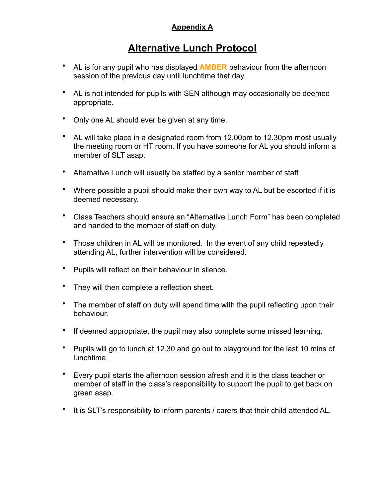## **Appendix A**

# **Alternative Lunch Protocol**

- AL is for any pupil who has displayed **AMBER** behaviour from the afternoon session of the previous day until lunchtime that day.
- AL is not intended for pupils with SEN although may occasionally be deemed appropriate.
- Only one AL should ever be given at any time.
- AL will take place in a designated room from 12.00pm to 12.30pm most usually the meeting room or HT room. If you have someone for AL you should inform a member of SLT asap.
- Alternative Lunch will usually be staffed by a senior member of staff
- Where possible a pupil should make their own way to AL but be escorted if it is deemed necessary.
- Class Teachers should ensure an "Alternative Lunch Form" has been completed and handed to the member of staff on duty.
- Those children in AL will be monitored. In the event of any child repeatedly attending AL, further intervention will be considered.
- Pupils will reflect on their behaviour in silence.
- They will then complete a reflection sheet.
- The member of staff on duty will spend time with the pupil reflecting upon their behaviour.
- If deemed appropriate, the pupil may also complete some missed learning.
- Pupils will go to lunch at 12.30 and go out to playground for the last 10 mins of lunchtime.
- Every pupil starts the afternoon session afresh and it is the class teacher or member of staff in the class's responsibility to support the pupil to get back on green asap.
- It is SLT's responsibility to inform parents / carers that their child attended AL.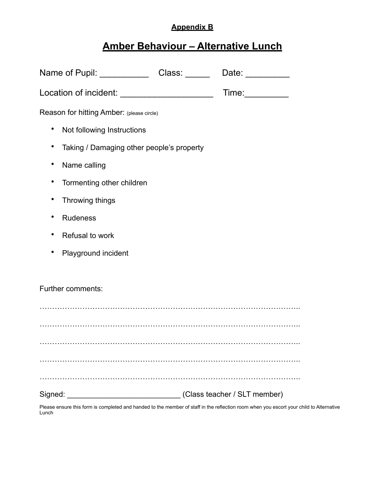### **Appendix B**

# **Amber Behaviour – Alternative Lunch**

| Name of Pupil: ___________                | Class: | Date:                        |
|-------------------------------------------|--------|------------------------------|
|                                           |        | Time:__________              |
| Reason for hitting Amber: (please circle) |        |                              |
| Not following Instructions<br>٠           |        |                              |
| Taking / Damaging other people's property |        |                              |
| Name calling                              |        |                              |
| Tormenting other children<br>٠            |        |                              |
| Throwing things                           |        |                              |
| <b>Rudeness</b>                           |        |                              |
| Refusal to work                           |        |                              |
| Playground incident                       |        |                              |
|                                           |        |                              |
| Further comments:                         |        |                              |
|                                           |        |                              |
|                                           |        |                              |
|                                           |        |                              |
|                                           |        |                              |
|                                           |        |                              |
| Signed:                                   |        | (Class teacher / SLT member) |

Please ensure this form is completed and handed to the member of staff in the reflection room when you escort your child to Alternative Lunch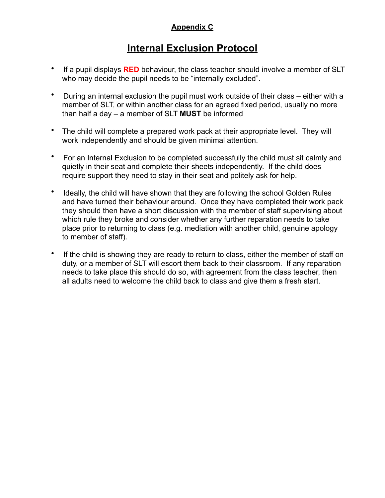## **Appendix C**

# **Internal Exclusion Protocol**

- If a pupil displays **RED** behaviour, the class teacher should involve a member of SLT who may decide the pupil needs to be "internally excluded".
- During an internal exclusion the pupil must work outside of their class either with a member of SLT, or within another class for an agreed fixed period, usually no more than half a day – a member of SLT **MUST** be informed
- The child will complete a prepared work pack at their appropriate level. They will work independently and should be given minimal attention.
- For an Internal Exclusion to be completed successfully the child must sit calmly and quietly in their seat and complete their sheets independently. If the child does require support they need to stay in their seat and politely ask for help.
- Ideally, the child will have shown that they are following the school Golden Rules and have turned their behaviour around. Once they have completed their work pack they should then have a short discussion with the member of staff supervising about which rule they broke and consider whether any further reparation needs to take place prior to returning to class (e.g. mediation with another child, genuine apology to member of staff).
- If the child is showing they are ready to return to class, either the member of staff on duty, or a member of SLT will escort them back to their classroom. If any reparation needs to take place this should do so, with agreement from the class teacher, then all adults need to welcome the child back to class and give them a fresh start.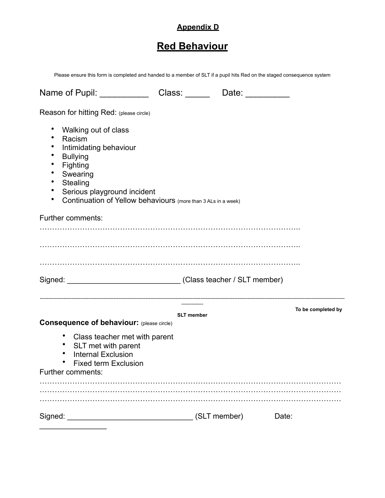# **Appendix D**

# **Red Behaviour**

Please ensure this form is completed and handed to a member of SLT if a pupil hits Red on the staged consequence system

| Name of Pupil: Name of Pupil:                                                                                                                                                                                                                                                |                   | Date: and the part of the set of the set of the set of the set of the set of the set of the set of the set of the set of the set of the set of the set of the set of the set of the set of the set of the set of the set of th |                    |
|------------------------------------------------------------------------------------------------------------------------------------------------------------------------------------------------------------------------------------------------------------------------------|-------------------|--------------------------------------------------------------------------------------------------------------------------------------------------------------------------------------------------------------------------------|--------------------|
| Reason for hitting Red: (please circle)                                                                                                                                                                                                                                      |                   |                                                                                                                                                                                                                                |                    |
| ٠<br>Walking out of class<br>$\bullet$<br>Racism<br>Intimidating behaviour<br>٠<br>$\bullet$<br><b>Bullying</b><br>Fighting<br>٠<br>Swearing<br>٠<br>Stealing<br>٠<br>٠<br>Serious playground incident<br>Continuation of Yellow behaviours (more than 3 ALs in a week)<br>٠ |                   |                                                                                                                                                                                                                                |                    |
| Further comments:                                                                                                                                                                                                                                                            |                   |                                                                                                                                                                                                                                |                    |
| Signed: __________________________________(Class teacher / SLT member)                                                                                                                                                                                                       |                   |                                                                                                                                                                                                                                |                    |
|                                                                                                                                                                                                                                                                              | <b>SLT</b> member |                                                                                                                                                                                                                                | To be completed by |
| <b>Consequence of behaviour:</b> (please circle)<br>٠<br>Class teacher met with parent<br>SLT met with parent<br><b>Internal Exclusion</b><br><b>Fixed term Exclusion</b><br>٠<br>Further comments:                                                                          |                   |                                                                                                                                                                                                                                |                    |
|                                                                                                                                                                                                                                                                              |                   |                                                                                                                                                                                                                                |                    |
|                                                                                                                                                                                                                                                                              |                   |                                                                                                                                                                                                                                | Date:              |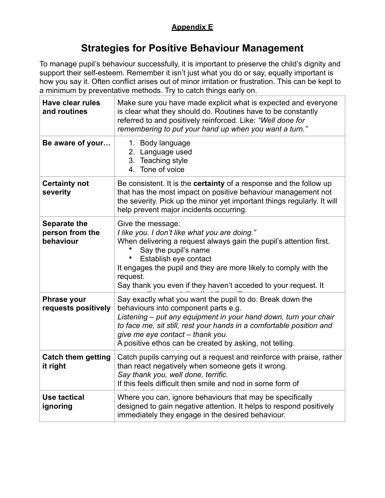## **Appendix E**

# **Strategies for Positive Behaviour Management**

To manage pupil's behaviour successfully, it is important to preserve the child's dignity and support their self-esteem. Remember it isn't just what you do or say, equally important is how you say it. Often conflict arises out of minor irritation or frustration. This can be kept to a minimum by preventative methods. Try to catch things early on.

| <b>Have clear rules</b><br>and routines             | Make sure you have made explicit what is expected and everyone<br>is clear what they should do. Routines have to be constantly<br>referred to and positively reinforced. Like: "Well done for<br>remembering to put your hand up when you want a turn."                                                                                      |
|-----------------------------------------------------|----------------------------------------------------------------------------------------------------------------------------------------------------------------------------------------------------------------------------------------------------------------------------------------------------------------------------------------------|
| Be aware of your                                    | 1. Body language<br>2. Language used<br>3. Teaching style<br>4. Tone of voice                                                                                                                                                                                                                                                                |
| <b>Certainty not</b><br>severity                    | Be consistent. It is the certainty of a response and the follow up<br>that has the most impact on positive behaviour management not<br>the severity. Pick up the minor yet important things regularly. It will<br>help prevent major incidents occurring.                                                                                    |
| <b>Separate the</b><br>person from the<br>behaviour | Give the message:<br>I like you. I don't like what you are doing."<br>When delivering a request always gain the pupil's attention first.<br>Say the pupil's name<br>Establish eye contact<br>It engages the pupil and they are more likely to comply with the<br>request.<br>Say thank you even if they haven't acceded to your request. It  |
| <b>Phrase your</b><br>requests positively           | Say exactly what you want the pupil to do. Break down the<br>behaviours into component parts e.g.<br>Listening - put any equipment in your hand down, turn your chair<br>to face me, sit still, rest your hands in a comfortable position and<br>give me eye contact - thank you.<br>A positive ethos can be created by asking, not telling. |
| <b>Catch them getting</b><br>it right               | Catch pupils carrying out a request and reinforce with praise, rather<br>than react negatively when someone gets it wrong.<br>Say thank you, well done, terrific.<br>If this feels difficult then smile and nod in some form of                                                                                                              |
| <b>Use tactical</b><br>ignoring                     | Where you can, ignore behaviours that may be specifically<br>designed to gain negative attention. It helps to respond positively<br>immediately they engage in the desired behaviour.                                                                                                                                                        |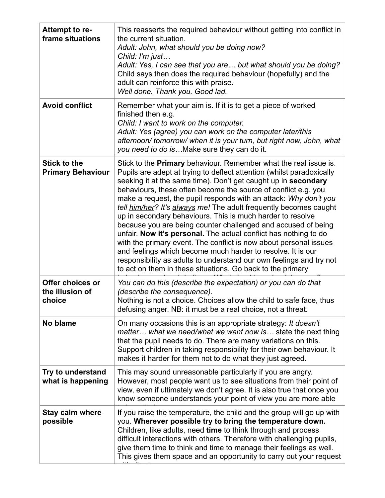| Attempt to re-<br>frame situations              | This reasserts the required behaviour without getting into conflict in<br>the current situation.<br>Adult: John, what should you be doing now?<br>Child: I'm just<br>Adult: Yes, I can see that you are but what should you be doing?<br>Child says then does the required behaviour (hopefully) and the<br>adult can reinforce this with praise.<br>Well done. Thank you. Good lad.                                                                                                                                                                                                                                                                                                                                                                                                                                                                                                                      |
|-------------------------------------------------|-----------------------------------------------------------------------------------------------------------------------------------------------------------------------------------------------------------------------------------------------------------------------------------------------------------------------------------------------------------------------------------------------------------------------------------------------------------------------------------------------------------------------------------------------------------------------------------------------------------------------------------------------------------------------------------------------------------------------------------------------------------------------------------------------------------------------------------------------------------------------------------------------------------|
| <b>Avoid conflict</b>                           | Remember what your aim is. If it is to get a piece of worked<br>finished then e.g.<br>Child: I want to work on the computer.<br>Adult: Yes (agree) you can work on the computer later/this<br>afternoon/tomorrow/when it is your turn, but right now, John, what<br>you need to do isMake sure they can do it.                                                                                                                                                                                                                                                                                                                                                                                                                                                                                                                                                                                            |
| <b>Stick to the</b><br><b>Primary Behaviour</b> | Stick to the <b>Primary</b> behaviour. Remember what the real issue is.<br>Pupils are adept at trying to deflect attention (whilst paradoxically<br>seeking it at the same time). Don't get caught up in secondary<br>behaviours, these often become the source of conflict e.g. you<br>make a request, the pupil responds with an attack: Why don't you<br>tell him/her? It's always me! The adult frequently becomes caught<br>up in secondary behaviours. This is much harder to resolve<br>because you are being counter challenged and accused of being<br>unfair. Now it's personal. The actual conflict has nothing to do<br>with the primary event. The conflict is now about personal issues<br>and feelings which become much harder to resolve. It is our<br>responsibility as adults to understand our own feelings and try not<br>to act on them in these situations. Go back to the primary |
| Offer choices or<br>the illusion of<br>choice   | You can do this (describe the expectation) or you can do that<br>(describe the consequence).<br>Nothing is not a choice. Choices allow the child to safe face, thus<br>defusing anger. NB: it must be a real choice, not a threat.                                                                                                                                                                                                                                                                                                                                                                                                                                                                                                                                                                                                                                                                        |
| No blame                                        | On many occasions this is an appropriate strategy: It doesn't<br>matter what we need/what we want now is state the next thing<br>that the pupil needs to do. There are many variations on this.<br>Support children in taking responsibility for their own behaviour. It<br>makes it harder for them not to do what they just agreed.                                                                                                                                                                                                                                                                                                                                                                                                                                                                                                                                                                     |
| Try to understand<br>what is happening          | This may sound unreasonable particularly if you are angry.<br>However, most people want us to see situations from their point of<br>view, even if ultimately we don't agree. It is also true that once you<br>know someone understands your point of view you are more able                                                                                                                                                                                                                                                                                                                                                                                                                                                                                                                                                                                                                               |
| <b>Stay calm where</b><br>possible              | If you raise the temperature, the child and the group will go up with<br>you. Wherever possible try to bring the temperature down.<br>Children, like adults, need time to think through and process<br>difficult interactions with others. Therefore with challenging pupils,<br>give them time to think and time to manage their feelings as well.<br>This gives them space and an opportunity to carry out your request                                                                                                                                                                                                                                                                                                                                                                                                                                                                                 |